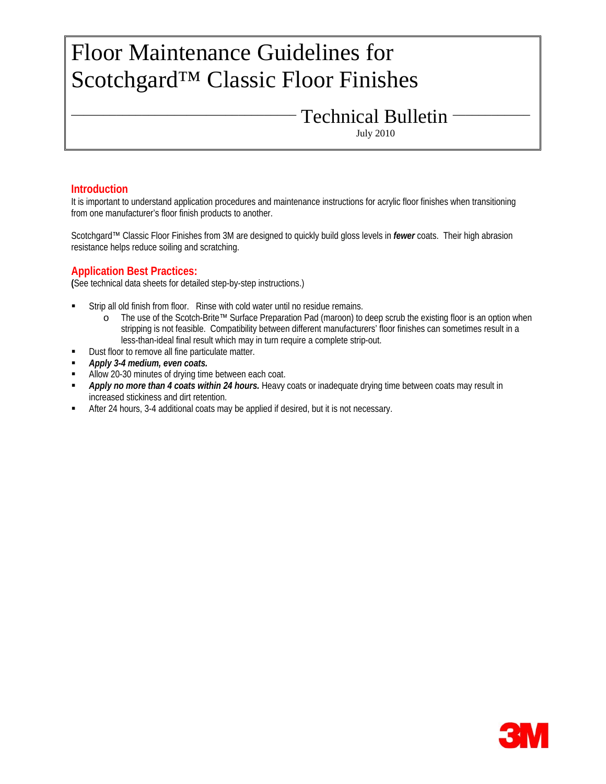# Floor Maintenance Guidelines for Scotchgard™ Classic Floor Finishes

Technical Bulletin

July 2010

### **Introduction**

It is important to understand application procedures and maintenance instructions for acrylic floor finishes when transitioning from one manufacturer's floor finish products to another.

Scotchgard™ Classic Floor Finishes from 3M are designed to quickly build gloss levels in *fewer* coats. Their high abrasion resistance helps reduce soiling and scratching.

**Application Best Practices: (**See technical data sheets for detailed step-by-step instructions.)

- Strip all old finish from floor. Rinse with cold water until no residue remains.
	- o The use of the Scotch-Brite™ Surface Preparation Pad (maroon) to deep scrub the existing floor is an option when stripping is not feasible. Compatibility between different manufacturers' floor finishes can sometimes result in a less-than-ideal final result which may in turn require a complete strip-out.
- Dust floor to remove all fine particulate matter.
- *Apply 3-4 medium, even coats.*
- Allow 20-30 minutes of drying time between each coat.
- *Apply no more than 4 coats within 24 hours.* Heavy coats or inadequate drying time between coats may result in increased stickiness and dirt retention.
- After 24 hours, 3-4 additional coats may be applied if desired, but it is not necessary.

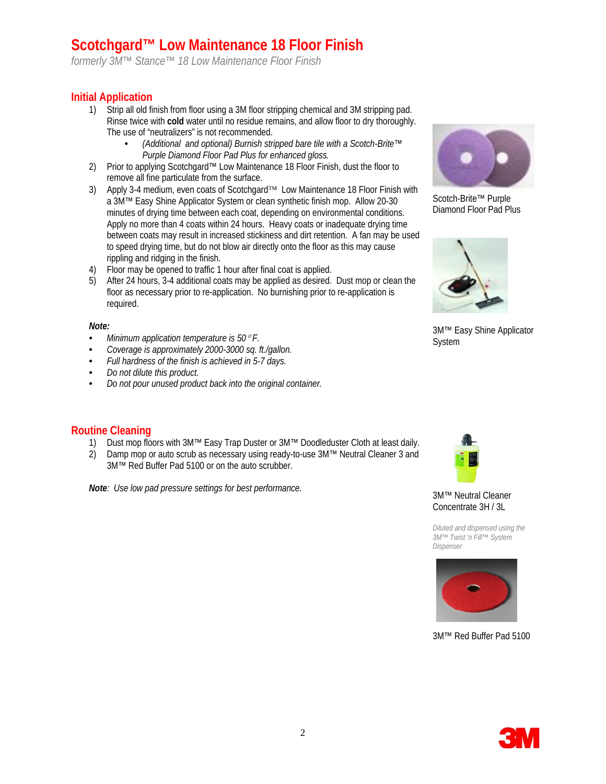# **Scotchgard™ Low Maintenance 18 Floor Finish**

*formerly 3M™ Stance™ 18 Low Maintenance Floor Finish* 

# **Initial Application**

- 1) Strip all old finish from floor using a 3M floor stripping chemical and 3M stripping pad. Rinse twice with **cold** water until no residue remains, and allow floor to dry thoroughly. The use of "neutralizers" is not recommended.
	- *(Additional and optional) Burnish stripped bare tile with a Scotch-Brite™ Purple Diamond Floor Pad Plus for enhanced gloss.*
- 2) Prior to applying Scotchgard™ Low Maintenance 18 Floor Finish, dust the floor to remove all fine particulate from the surface.
- 3) Apply 3-4 medium, even coats of Scotchgard™ Low Maintenance 18 Floor Finish with a 3M™ Easy Shine Applicator System or clean synthetic finish mop. Allow 20-30 minutes of drying time between each coat, depending on environmental conditions. Apply no more than 4 coats within 24 hours. Heavy coats or inadequate drying time between coats may result in increased stickiness and dirt retention. A fan may be used to speed drying time, but do not blow air directly onto the floor as this may cause rippling and ridging in the finish.
- 4) Floor may be opened to traffic 1 hour after final coat is applied.
- 5) After 24 hours, 3-4 additional coats may be applied as desired. Dust mop or clean the floor as necessary prior to re-application. No burnishing prior to re-application is required.

### *Note:*

- *Minimum application temperature is 50*° *F.*
- *Coverage is approximately 2000-3000 sq. ft./gallon.*
- *Full hardness of the finish is achieved in 5-7 days.*
- *Do not dilute this product.*
- *Do not pour unused product back into the original container.*

### **Routine Cleaning**

- 1) Dust mop floors with 3M™ Easy Trap Duster or 3M™ Doodleduster Cloth at least daily.
- 2) Damp mop or auto scrub as necessary using ready-to-use 3M™ Neutral Cleaner 3 and 3M™ Red Buffer Pad 5100 or on the auto scrubber.

**Note***:* Use low pad pressure settings for best performance. 3M™ Neutral Cleaner



Scotch-Brite™ Purple Diamond Floor Pad Plus



3M™ Easy Shine Applicator System



Concentrate 3H / 3L

*Diluted and dispensed using the 3M™ Twist 'n Fill™ System Dispenser* 



3M™ Red Buffer Pad 5100

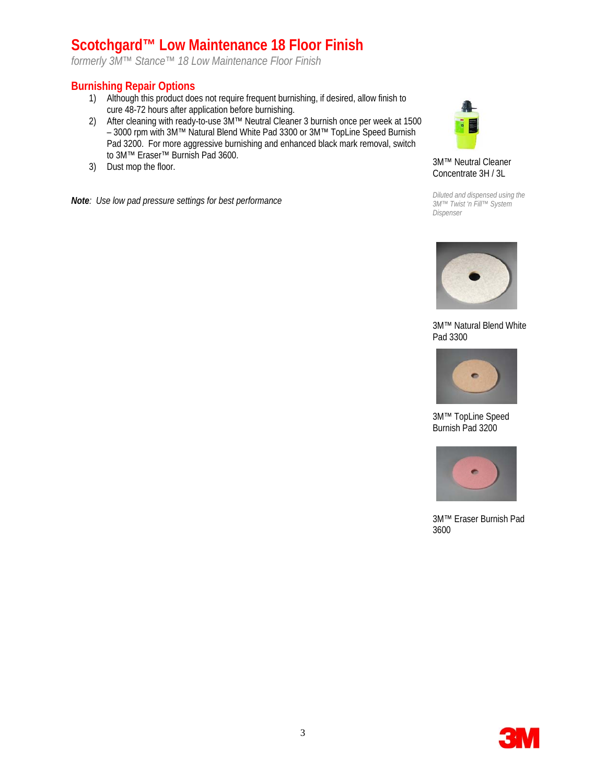# **Scotchgard™ Low Maintenance 18 Floor Finish**

*formerly 3M™ Stance™ 18 Low Maintenance Floor Finish* 

# **Burnishing Repair Options**

- 1) Although this product does not require frequent burnishing, if desired, allow finish to cure 48-72 hours after application before burnishing.
- 2) After cleaning with ready-to-use 3M™ Neutral Cleaner 3 burnish once per week at 1500 – 3000 rpm with 3M™ Natural Blend White Pad 3300 or 3M™ TopLine Speed Burnish Pad 3200. For more aggressive burnishing and enhanced black mark removal, switch to 3M™ Eraser™ Burnish Pad 3600.
- 3) Dust mop the floor.

*Note: Use low pad pressure settings for best performance* 



3M™ Neutral Cleaner Concentrate 3H / 3L

*Diluted and dispensed using the 3M™ Twist 'n Fill™ System Dispenser* 



3M™ Natural Blend White Pad 3300



3M™ TopLine Speed Burnish Pad 3200



3M™ Eraser Burnish Pad 3600

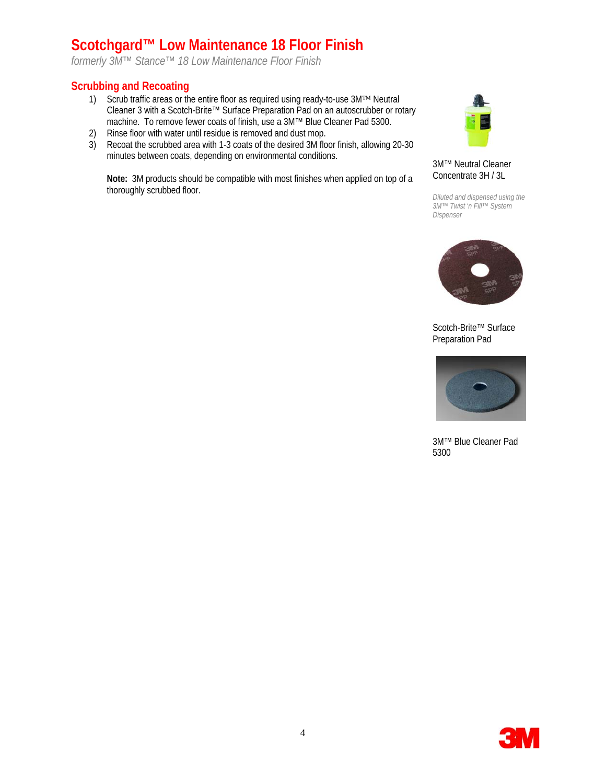# **Scotchgard™ Low Maintenance 18 Floor Finish**

*formerly 3M™ Stance™ 18 Low Maintenance Floor Finish* 

### **Scrubbing and Recoating**

- 1) Scrub traffic areas or the entire floor as required using ready-to-use 3M™ Neutral Cleaner 3 with a Scotch-Brite™ Surface Preparation Pad on an autoscrubber or rotary machine. To remove fewer coats of finish, use a 3M™ Blue Cleaner Pad 5300.
- 2) Rinse floor with water until residue is removed and dust mop.
- 3) Recoat the scrubbed area with 1-3 coats of the desired 3M floor finish, allowing 20-30 minutes between coats, depending on environmental conditions.

**Note:** 3M products should be compatible with most finishes when applied on top of a thoroughly scrubbed floor.



3M™ Neutral Cleaner Concentrate 3H / 3L

*Diluted and dispensed using the 3M™ Twist 'n Fill™ System Dispenser* 



Scotch-Brite™ Surface Preparation Pad



3M™ Blue Cleaner Pad 5300

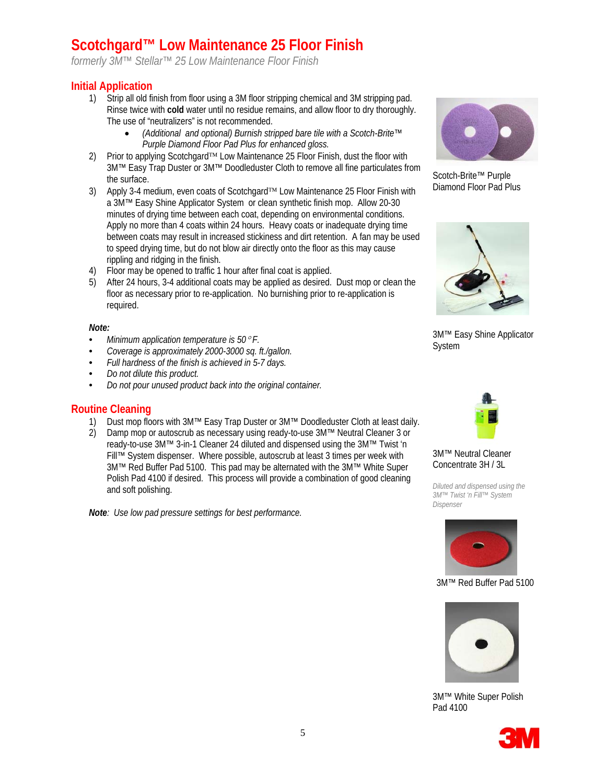# **Scotchgard™ Low Maintenance 25 Floor Finish**

*formerly 3M™ Stellar™ 25 Low Maintenance Floor Finish* 

### **Initial Application**

- 1) Strip all old finish from floor using a 3M floor stripping chemical and 3M stripping pad. Rinse twice with **cold** water until no residue remains, and allow floor to dry thoroughly. The use of "neutralizers" is not recommended.
	- *(Additional and optional) Burnish stripped bare tile with a Scotch-Brite™ Purple Diamond Floor Pad Plus for enhanced gloss.*
- 2) Prior to applying Scotchgard™ Low Maintenance 25 Floor Finish, dust the floor with 3M™ Easy Trap Duster or 3M™ Doodleduster Cloth to remove all fine particulates from the surface.
- 3) Apply 3-4 medium, even coats of Scotchgard™ Low Maintenance 25 Floor Finish with a 3M™ Easy Shine Applicator System or clean synthetic finish mop. Allow 20-30 minutes of drying time between each coat, depending on environmental conditions. Apply no more than 4 coats within 24 hours. Heavy coats or inadequate drying time between coats may result in increased stickiness and dirt retention. A fan may be used to speed drying time, but do not blow air directly onto the floor as this may cause rippling and ridging in the finish.
- 4) Floor may be opened to traffic 1 hour after final coat is applied.
- 5) After 24 hours, 3-4 additional coats may be applied as desired. Dust mop or clean the floor as necessary prior to re-application. No burnishing prior to re-application is required.

#### *Note:*

- *Minimum application temperature is 50*° *F.*
- *Coverage is approximately 2000-3000 sq. ft./gallon.*
- *Full hardness of the finish is achieved in 5-7 days.*
- *Do not dilute this product.*
- *Do not pour unused product back into the original container.*

### **Routine Cleaning**

- 1) Dust mop floors with 3M™ Easy Trap Duster or 3M™ Doodleduster Cloth at least daily.
- 2) Damp mop or autoscrub as necessary using ready-to-use 3M™ Neutral Cleaner 3 or ready-to-use 3M™ 3-in-1 Cleaner 24 diluted and dispensed using the 3M™ Twist 'n Fill™ System dispenser. Where possible, autoscrub at least 3 times per week with 3M™ Red Buffer Pad 5100. This pad may be alternated with the 3M™ White Super Polish Pad 4100 if desired. This process will provide a combination of good cleaning and soft polishing.

*Note: Use low pad pressure settings for best performance.*



Scotch-Brite™ Purple Diamond Floor Pad Plus



3M™ Easy Shine Applicator System



3M™ Neutral Cleaner Concentrate 3H / 3L

*Diluted and dispensed using the 3M™ Twist 'n Fill™ System Dispenser* 



3M™ Red Buffer Pad 5100



3M™ White Super Polish Pad 4100

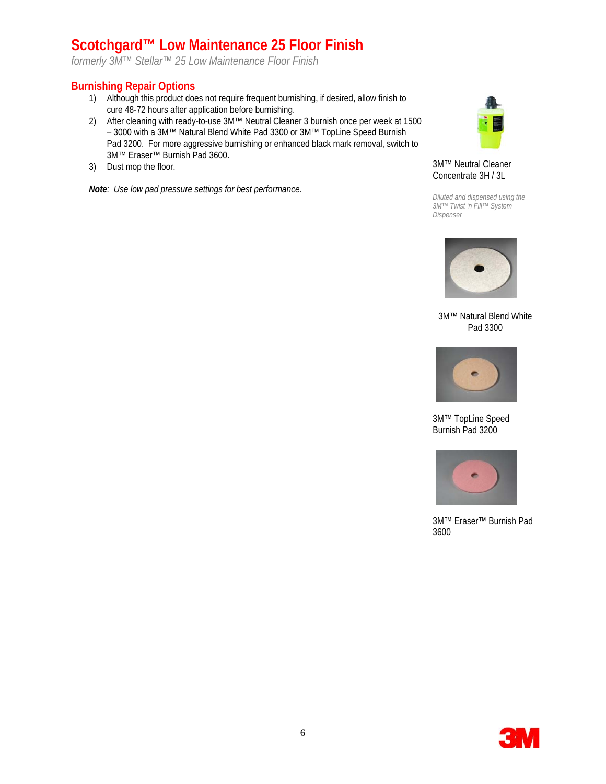# **Scotchgard™ Low Maintenance 25 Floor Finish**

*formerly 3M™ Stellar™ 25 Low Maintenance Floor Finish* 

### **Burnishing Repair Options**

- 1) Although this product does not require frequent burnishing, if desired, allow finish to cure 48-72 hours after application before burnishing.
- 2) After cleaning with ready-to-use 3M™ Neutral Cleaner 3 burnish once per week at 1500 – 3000 with a 3M™ Natural Blend White Pad 3300 or 3M™ TopLine Speed Burnish Pad 3200. For more aggressive burnishing or enhanced black mark removal, switch to 3M™ Eraser™ Burnish Pad 3600.
- 3) Dust mop the floor.

*Note: Use low pad pressure settings for best performance.*



#### 3M™ Neutral Cleaner Concentrate 3H / 3L

*Diluted and dispensed using the 3M™ Twist 'n Fill™ System Dispenser* 



3M™ Natural Blend White Pad 3300



3M™ TopLine Speed Burnish Pad 3200



3M™ Eraser™ Burnish Pad 3600

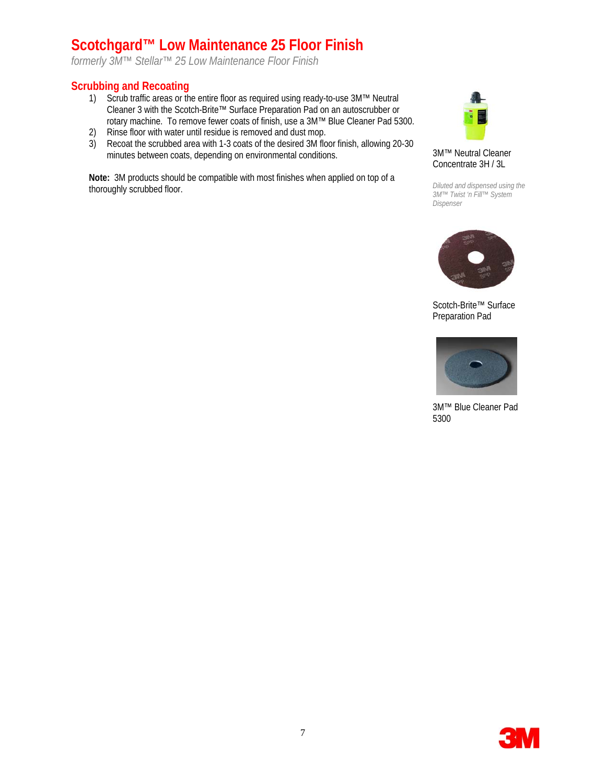# **Scotchgard™ Low Maintenance 25 Floor Finish**

*formerly 3M™ Stellar™ 25 Low Maintenance Floor Finish* 

### **Scrubbing and Recoating**

- 1) Scrub traffic areas or the entire floor as required using ready-to-use 3M™ Neutral Cleaner 3 with the Scotch-Brite™ Surface Preparation Pad on an autoscrubber or rotary machine. To remove fewer coats of finish, use a 3M™ Blue Cleaner Pad 5300.
- 2) Rinse floor with water until residue is removed and dust mop.
- 3) Recoat the scrubbed area with 1-3 coats of the desired 3M floor finish, allowing 20-30 minutes between coats, depending on environmental conditions.

**Note:** 3M products should be compatible with most finishes when applied on top of a thoroughly scrubbed floor.



3M™ Neutral Cleaner Concentrate 3H / 3L

*Diluted and dispensed using the 3M™ Twist 'n Fill™ System Dispenser* 



Scotch-Brite™ Surface Preparation Pad



3M™ Blue Cleaner Pad 5300

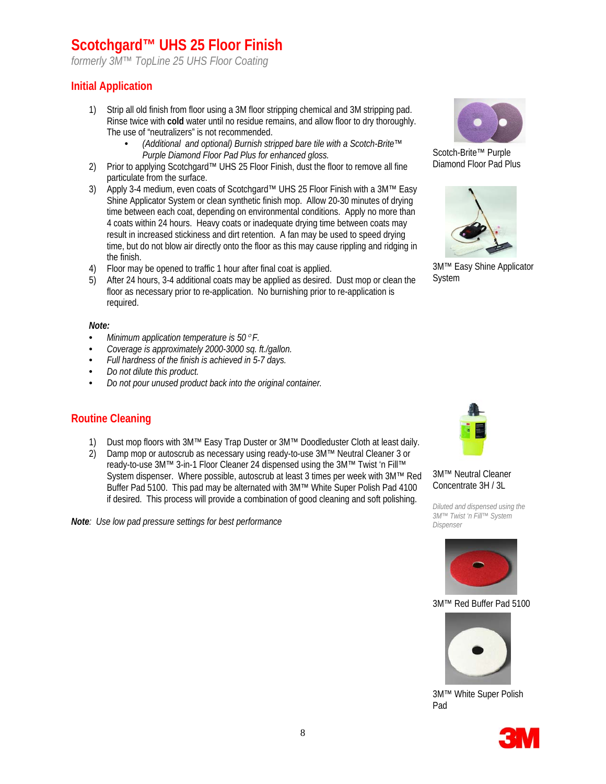# **Scotchgard™ UHS 25 Floor Finish**

*formerly 3M™ TopLine 25 UHS Floor Coating*

# **Initial Application**

- 1) Strip all old finish from floor using a 3M floor stripping chemical and 3M stripping pad. Rinse twice with **cold** water until no residue remains, and allow floor to dry thoroughly. The use of "neutralizers" is not recommended.
	- *(Additional and optional) Burnish stripped bare tile with a Scotch-Brite™ Purple Diamond Floor Pad Plus for enhanced gloss.*
- 2) Prior to applying Scotchgard™ UHS 25 Floor Finish, dust the floor to remove all fine particulate from the surface.
- 3) Apply 3-4 medium, even coats of Scotchgard™ UHS 25 Floor Finish with a 3M™ Easy Shine Applicator System or clean synthetic finish mop. Allow 20-30 minutes of drying time between each coat, depending on environmental conditions. Apply no more than 4 coats within 24 hours. Heavy coats or inadequate drying time between coats may result in increased stickiness and dirt retention. A fan may be used to speed drying time, but do not blow air directly onto the floor as this may cause rippling and ridging in the finish.
- 4) Floor may be opened to traffic 1 hour after final coat is applied.
- 5) After 24 hours, 3-4 additional coats may be applied as desired. Dust mop or clean the floor as necessary prior to re-application. No burnishing prior to re-application is required.

#### *Note:*

- *Minimum application temperature is 50*° *F.*
- *Coverage is approximately 2000-3000 sq. ft./gallon.*
- *Full hardness of the finish is achieved in 5-7 days.*
- *Do not dilute this product.*
- *Do not pour unused product back into the original container.*

### **Routine Cleaning**

- 1) Dust mop floors with 3M™ Easy Trap Duster or 3M™ Doodleduster Cloth at least daily.
- 2) Damp mop or autoscrub as necessary using ready-to-use 3M™ Neutral Cleaner 3 or ready-to-use 3M™ 3-in-1 Floor Cleaner 24 dispensed using the 3M™ Twist 'n Fill™ System dispenser. Where possible, autoscrub at least 3 times per week with 3M™ Red Buffer Pad 5100. This pad may be alternated with 3M™ White Super Polish Pad 4100 if desired. This process will provide a combination of good cleaning and soft polishing.

*Note: Use low pad pressure settings for best performance* 



Scotch-Brite™ Purple Diamond Floor Pad Plus



3M™ Easy Shine Applicator System



3M™ Neutral Cleaner Concentrate 3H / 3L

*Diluted and dispensed using the 3M™ Twist 'n Fill™ System Dispenser* 



3M™ Red Buffer Pad 5100



3M™ White Super Polish Pad

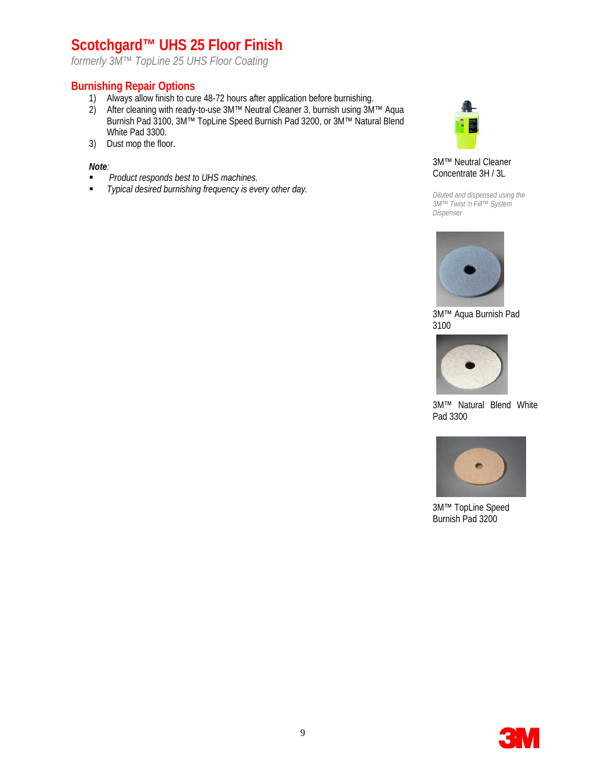# **Scotchgard™ UHS 25 Floor Finish**

*formerly 3M™ TopLine 25 UHS Floor Coating*

# **Burnishing Repair Options**

- 1) Always allow finish to cure 48-72 hours after application before burnishing.
- 2) After cleaning with ready-to-use 3M™ Neutral Cleaner 3, burnish using 3M™ Aqua Burnish Pad 3100, 3M™ TopLine Speed Burnish Pad 3200, or 3M™ Natural Blend White Pad 3300.
- 3) Dust mop the floor.

#### *Note:*

- *Product responds best to UHS machines.*
- *Typical desired burnishing frequency is every other day.*



#### 3M™ Neutral Cleaner Concentrate 3H / 3L

*Diluted and dispensed using the 3M™ Twist 'n Fill™ System Dispenser* 



3M™ Aqua Burnish Pad 3100



3M™ Natural Blend White Pad 3300



3M™ TopLine Speed Burnish Pad 3200